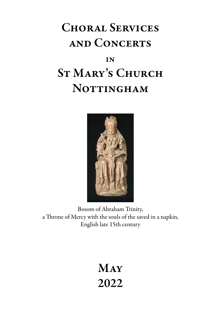# Choral Services and Concerts **IN** St Mary's Church

## NOTTINGHAM



Bosom of Abraham Trinity, a Throne of Mercy with the souls of the saved in a napkin, English late 15th century

## **MAY** 2022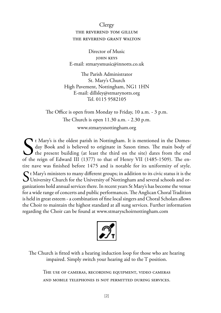#### **Clergy** the reverend tom gillum the reverend grant walton

Director of Music john keys E-mail: stmarysmusic@innotts.co.uk

The Parish Administrator St. Mary's Church High Pavement, Nottingham, NG1 1HN E-mail: dillsley@stmarynotts.org Tel. 0115 9582105

The Office is open from Monday to Friday, 10 a.m. - 3 p.m. The Church is open 11.30 a.m. - 2.30 p.m. www.stmarysnottingham.org

S<br>of the It Mary's is the oldest parish in Nottingham. It is mentioned in the Domesday Book and is believed to originate in Saxon times. The main body of the present building (at least the third on the site) dates from the end of the reign of Edward III (1377) to that of Henry VII (1485-1509). The entire nave was finished before 1475 and is notable for its uniformity of style.  $S$ <sup>t</sup> Mary's ministers to many different groups; in addition to its civic status it is the University Church for the University of Nottingham and several schools and organizations hold annual services there. In recent years St Mary's has become the venue for a wide range of concerts and public performances. The Anglican Choral Tradition is held in great esteem - a combination of fine local singers and Choral Scholars allows the Choir to maintain the highest standard at all sung services. Further information regarding the Choir can be found at www.stmaryschoirnottingham.com



The Church is fitted with a hearing induction loop for those who are hearing impaired. Simply switch your hearing aid to the T position.

The use of cameras, recording equipment, video cameras and mobile telephones is not permitted during services.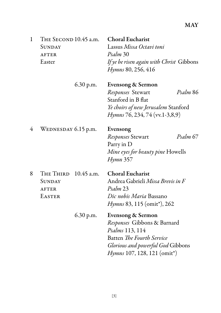### May

| $\mathbf{1}$ | THE SECOND 10.45 a.m.<br>SUNDAY<br><b>AFTER</b><br>Easter |            | <b>Choral Eucharist</b><br>Lassus Missa Octavi toni<br>Psalm 30<br>If ye be risen again with Christ Gibbons<br><i>Hymns</i> 80, 256, 416                                                        |  |
|--------------|-----------------------------------------------------------|------------|-------------------------------------------------------------------------------------------------------------------------------------------------------------------------------------------------|--|
|              |                                                           | 6.30 p.m.  | Evensong & Sermon<br>Responses Stewart<br>Psalm 86<br>Stanford in B flat<br>Ye choirs of new Jerusalem Stanford<br><i>Hymns</i> 76, 234, 74 (vv.1-3,8,9)                                        |  |
| 4            | WEDNESDAY 6.15 p.m.                                       |            | Evensong<br>Responses Stewart<br>Psalm 67<br>Parry in D<br>Mine eyes for beauty pine Howells<br>Hymn 357                                                                                        |  |
| 8            | THE THIRD<br>SUNDAY<br><b>AFTER</b><br><b>EASTER</b>      | 10.45 a.m. | <b>Choral Eucharist</b><br>Andrea Gabrieli Missa Brevis in F<br>Psalm 23<br>Dic nobis Maria Bassano<br><i>Hymns</i> 83, 115 (omit <sup>*</sup> ), 262                                           |  |
|              |                                                           | 6.30 p.m.  | Evensong & Sermon<br>Responses Gibbons & Barnard<br>Psalms 113, 114<br>Batten The Fourth Service<br><i>Glorious and powerful God</i> Gibbons<br><i>Hymns</i> 107, 128, 121 (omit <sup>*</sup> ) |  |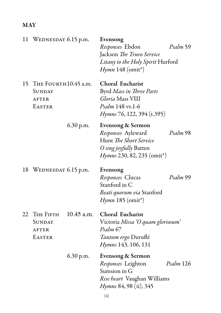### **MAY**

| 11 | WEDNESDAY 6.15 p.m.                                                       |              | Evensong<br>Responses Ebdon<br>Jackson The Truro Service<br><i>Litany to the Holy Spirit Hurford</i><br>$H$ <i>ymn</i> 148 (omit <sup>*</sup> ) | Psalm 59                          |  |
|----|---------------------------------------------------------------------------|--------------|-------------------------------------------------------------------------------------------------------------------------------------------------|-----------------------------------|--|
|    | 15 THE FOURTH10.45 a.m.<br><b>SUNDAY</b><br><b>AFTER</b><br><b>EASTER</b> |              | Choral Eucharist<br>Byrd Mass in Three Parts<br>Gloria Mass VIII<br>Psalm 148 vv.1-6<br>Hymns 76, 122, 394 (t.395)                              |                                   |  |
|    |                                                                           | 6.30 p.m.    | Evensong & Sermon<br>Responses Ayleward<br>Hunt The Short Service<br>O sing joyfully Batten<br><i>Hymns</i> 230, 82, 235 (omit <sup>*</sup> )   | Psalm 98                          |  |
| 18 | WEDNESDAY 6.15 p.m.                                                       |              | Evensong<br>Responses Clucas<br>Stanford in C<br><i>Beati quorum via</i> Stanford<br><i>Hymn</i> 185 (omit <sup>*</sup> )                       | Psalm 99                          |  |
|    | 22 THE FIFTH<br><b>SUNDAY</b><br><b>AFTER</b><br><b>EASTER</b>            | $10.45$ a.m. | Choral Eucharist<br>Psalm 67<br><i>Tantum ergo</i> Duruflé<br><i>Hymns</i> 143, 106, 131                                                        | Victoria Missa 'O quam gloriosum' |  |
|    |                                                                           | 6.30 p.m.    | <b>Evensong &amp; Sermon</b><br>Responses Leighton<br>Sumsion in G<br><i>Rise beart</i> Vaughan Williams<br><i>Hymns</i> 84, 98 (ii), 345       | Psalm 126                         |  |